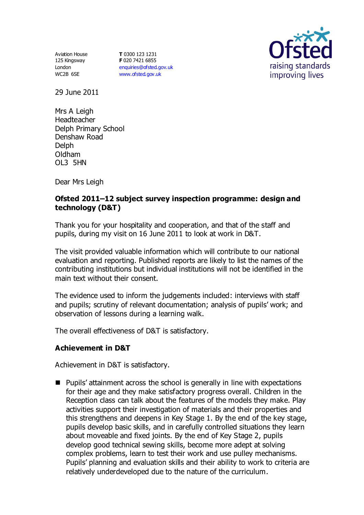Aviation House 125 Kingsway London WC2B 6SE

**T** 0300 123 1231 **F** 020 7421 6855 [enquiries@ofsted.gov.uk](mailto:enquiries@ofsted.gov.uk) [www.ofsted.gov.uk](http://www.ofsted.gov.uk/)



29 June 2011

Mrs A Leigh Headteacher Delph Primary School Denshaw Road Delph Oldham OL3 5HN

Dear Mrs Leigh

### **Ofsted 2011–12 subject survey inspection programme: design and technology (D&T)**

Thank you for your hospitality and cooperation, and that of the staff and pupils, during my visit on 16 June 2011 to look at work in D&T.

The visit provided valuable information which will contribute to our national evaluation and reporting. Published reports are likely to list the names of the contributing institutions but individual institutions will not be identified in the main text without their consent.

The evidence used to inform the judgements included: interviews with staff and pupils; scrutiny of relevant documentation; analysis of pupils' work; and observation of lessons during a learning walk.

The overall effectiveness of D&T is satisfactory.

### **Achievement in D&T**

Achievement in D&T is satisfactory.

■ Pupils' attainment across the school is generally in line with expectations for their age and they make satisfactory progress overall. Children in the Reception class can talk about the features of the models they make. Play activities support their investigation of materials and their properties and this strengthens and deepens in Key Stage 1. By the end of the key stage, pupils develop basic skills, and in carefully controlled situations they learn about moveable and fixed joints. By the end of Key Stage 2, pupils develop good technical sewing skills, become more adept at solving complex problems, learn to test their work and use pulley mechanisms. Pupils' planning and evaluation skills and their ability to work to criteria are relatively underdeveloped due to the nature of the curriculum.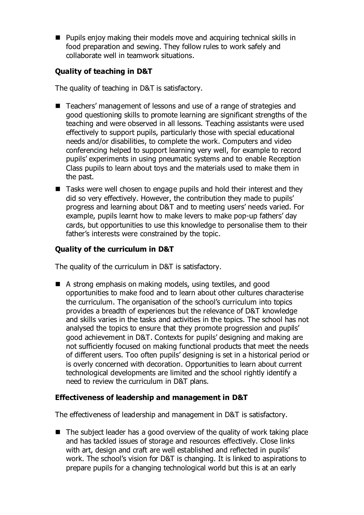$\blacksquare$  Pupils enjoy making their models move and acquiring technical skills in food preparation and sewing. They follow rules to work safely and collaborate well in teamwork situations.

## **Quality of teaching in D&T**

The quality of teaching in D&T is satisfactory.

- Teachers' management of lessons and use of a range of strategies and good questioning skills to promote learning are significant strengths of the teaching and were observed in all lessons. Teaching assistants were used effectively to support pupils, particularly those with special educational needs and/or disabilities, to complete the work. Computers and video conferencing helped to support learning very well, for example to record pupils' experiments in using pneumatic systems and to enable Reception Class pupils to learn about toys and the materials used to make them in the past.
- Tasks were well chosen to engage pupils and hold their interest and they did so very effectively. However, the contribution they made to pupils' progress and learning about D&T and to meeting users' needs varied. For example, pupils learnt how to make levers to make pop-up fathers' day cards, but opportunities to use this knowledge to personalise them to their father's interests were constrained by the topic.

# **Quality of the curriculum in D&T**

The quality of the curriculum in D&T is satisfactory.

■ A strong emphasis on making models, using textiles, and good opportunities to make food and to learn about other cultures characterise the curriculum. The organisation of the school's curriculum into topics provides a breadth of experiences but the relevance of D&T knowledge and skills varies in the tasks and activities in the topics. The school has not analysed the topics to ensure that they promote progression and pupils' good achievement in D&T. Contexts for pupils' designing and making are not sufficiently focused on making functional products that meet the needs of different users. Too often pupils' designing is set in a historical period or is overly concerned with decoration. Opportunities to learn about current technological developments are limited and the school rightly identify a need to review the curriculum in D&T plans.

### **Effectiveness of leadership and management in D&T**

The effectiveness of leadership and management in D&T is satisfactory.

 $\blacksquare$  The subject leader has a good overview of the quality of work taking place and has tackled issues of storage and resources effectively. Close links with art, design and craft are well established and reflected in pupils' work. The school's vision for D&T is changing. It is linked to aspirations to prepare pupils for a changing technological world but this is at an early